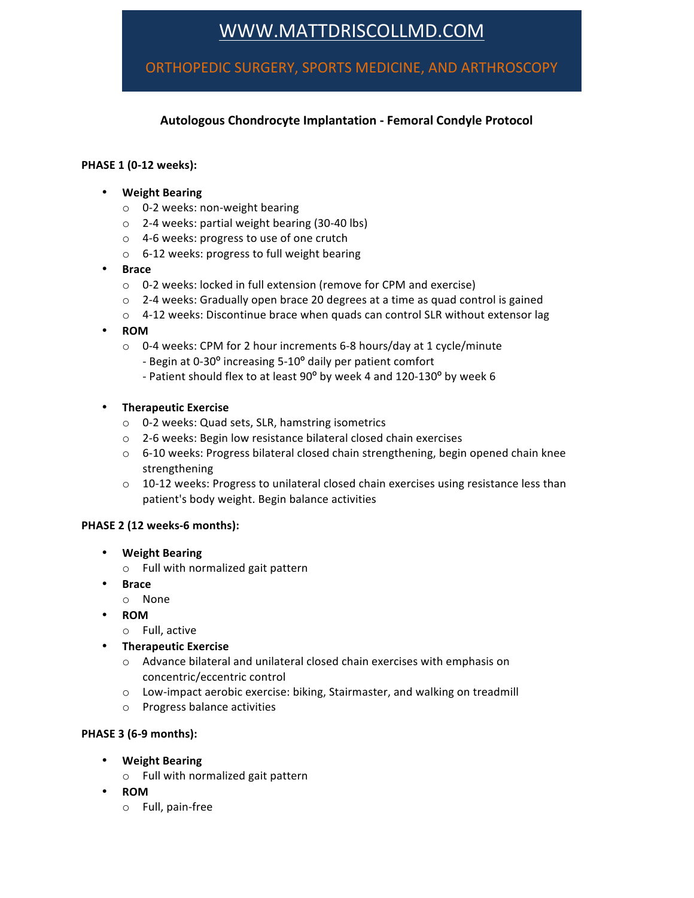# WWW.MATTDRISCOLLMD.COM

ORTHOPEDIC SURGERY, SPORTS MEDICINE, AND ARTHROSCOPY

# **Autologous Chondrocyte Implantation - Femoral Condyle Protocol**

## **PHASE 1 (0-12 weeks):**

- **Weight Bearing**
	- o 0-2 weeks: non-weight bearing
	- $\circ$  2-4 weeks: partial weight bearing (30-40 lbs)
	- o 4-6 weeks: progress to use of one crutch
	- $\circ$  6-12 weeks: progress to full weight bearing
- **Brace**
	- o 0-2 weeks: locked in full extension (remove for CPM and exercise)
	- o 2-4 weeks: Gradually open brace 20 degrees at a time as quad control is gained
	- $\circ$  4-12 weeks: Discontinue brace when quads can control SLR without extensor lag
- **ROM**
	- o 0-4 weeks: CPM for 2 hour increments 6-8 hours/day at 1 cycle/minute
		- Begin at 0-30° increasing 5-10° daily per patient comfort
		- Patient should flex to at least 90° by week 4 and 120-130° by week 6
- **Therapeutic Exercise**
	- o 0-2 weeks: Quad sets, SLR, hamstring isometrics
	- o 2-6 weeks: Begin low resistance bilateral closed chain exercises
	- $\circ$  6-10 weeks: Progress bilateral closed chain strengthening, begin opened chain knee strengthening
	- $\circ$  10-12 weeks: Progress to unilateral closed chain exercises using resistance less than patient's body weight. Begin balance activities

#### PHASE 2 (12 weeks-6 months):

- **Weight Bearing**
	- $\circ$  Full with normalized gait pattern
- **Brace**
	- o None
- **ROM**
	- $\circ$  Full, active
- **Therapeutic Exercise**
	- o Advance bilateral and unilateral closed chain exercises with emphasis on concentric/eccentric control
	- o Low-impact aerobic exercise: biking, Stairmaster, and walking on treadmill
	- o Progress balance activities

#### **PHASE 3 (6-9 months):**

- **Weight Bearing**
	- $\circ$  Full with normalized gait pattern
- **ROM**
	- o Full, pain-free